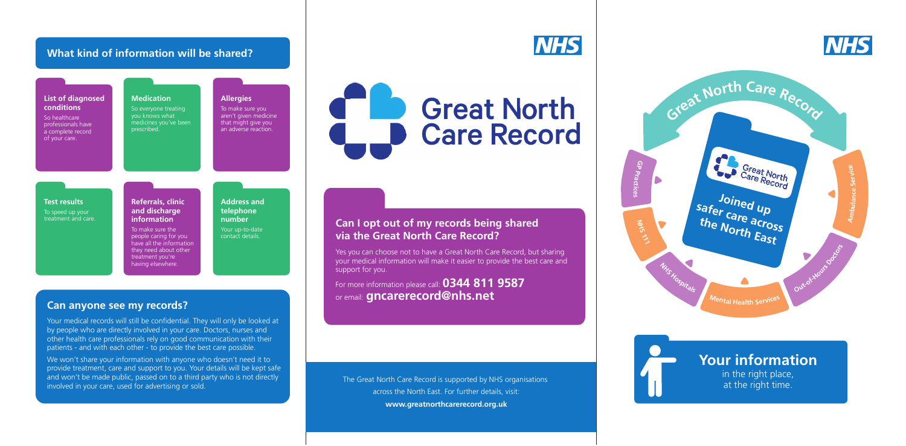# **Your information**

in the right place, at the right time.

Yes you can choose not to have a Great North Care Record, but sharing your medical information will make it easier to provide the best care and support for you.

For more information please call: **0344 811 9587** or email: **gncarerecord@nhs.net**

# **Can I opt out of my records being shared via the Great North Care Record?**

The Great North Care Record is supported by NHS organisations across the North East. For further details, visit: **www.greatnorthcarerecord.org.uk**



We won't share your information with anyone who doesn't need it to provide treatment, care and support to you. Your details will be kept safe and won't be made public, passed on to a third party who is not directly involved in your care, used for advertising or sold.

# C **Great North Care Record**

Your medical records will still be confidential. They will only be looked at by people who are directly involved in your care. Doctors, nurses and other health care professionals rely on good communication with their patients - and with each other - to provide the best care possible.

### **Can anyone see my records?**

# **What kind of information will be shared?**



#### **List of diagnosed conditions** So healthcare professionals have a complete record of your care. **Medication** So everyone treating you knows what medicines you've been prescribed. **Allergies**  To make sure you aren't given medicine that might give you an adverse reaction. **Test results** To speed up your treatment and care. **Referrals, clinic and discharge information** To make sure the people caring for you have all the information they need about other treatment you're having elsewhere. **Address and telephone number**  Your up-to-date contact details.